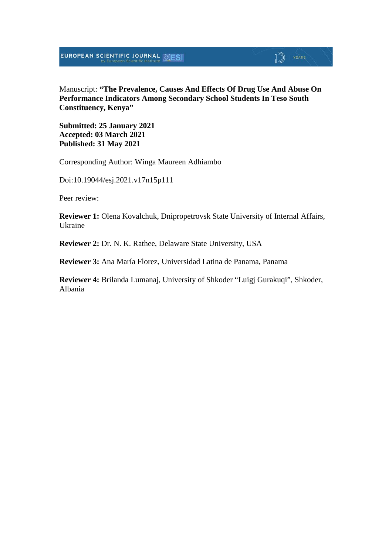Manuscript: **"The Prevalence, Causes And Effects Of Drug Use And Abuse On Performance Indicators Among Secondary School Students In Teso South Constituency, Kenya"**

**Submitted: 25 January 2021 Accepted: 03 March 2021 Published: 31 May 2021**

Corresponding Author: Winga Maureen Adhiambo

Doi:10.19044/esj.2021.v17n15p111

Peer review:

**Reviewer 1:** Olena Kovalchuk, Dnipropetrovsk State University of Internal Affairs, Ukraine

**Reviewer 2:** Dr. N. K. Rathee, Delaware State University, USA

**Reviewer 3:** Ana María Florez, Universidad Latina de Panama, Panama

**Reviewer 4:** Brilanda Lumanaj, University of Shkoder "Luigj Gurakuqi", Shkoder, Albania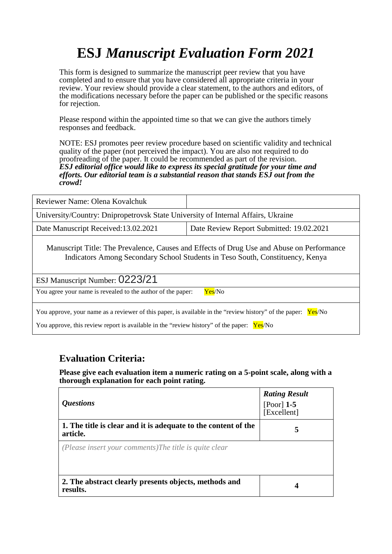# **ESJ** *Manuscript Evaluation Form 2021*

This form is designed to summarize the manuscript peer review that you have completed and to ensure that you have considered all appropriate criteria in your review. Your review should provide a clear statement, to the authors and editors, of the modifications necessary before the paper can be published or the specific reasons for rejection.

Please respond within the appointed time so that we can give the authors timely responses and feedback.

NOTE: ESJ promotes peer review procedure based on scientific validity and technical quality of the paper (not perceived the impact). You are also not required to do proofreading of the paper. It could be recommended as part of the revision. *ESJ editorial office would like to express its special gratitude for your time and efforts. Our editorial team is a substantial reason that stands ESJ out from the crowd!* 

| Reviewer Name: Olena Kovalchuk                                                                                                                                                                                |                                          |  |
|---------------------------------------------------------------------------------------------------------------------------------------------------------------------------------------------------------------|------------------------------------------|--|
| University/Country: Dnipropetrovsk State University of Internal Affairs, Ukraine                                                                                                                              |                                          |  |
| Date Manuscript Received: 13.02.2021                                                                                                                                                                          | Date Review Report Submitted: 19.02.2021 |  |
| Manuscript Title: The Prevalence, Causes and Effects of Drug Use and Abuse on Performance<br>Indicators Among Secondary School Students in Teso South, Constituency, Kenya                                    |                                          |  |
| ESJ Manuscript Number: 0223/21                                                                                                                                                                                |                                          |  |
| You agree your name is revealed to the author of the paper:                                                                                                                                                   | Yes/No                                   |  |
| You approve, your name as a reviewer of this paper, is available in the "review history" of the paper:<br>Yes/No<br>You approve, this review report is available in the "review history" of the paper: Yes/No |                                          |  |

#### **Evaluation Criteria:**

**Please give each evaluation item a numeric rating on a 5-point scale, along with a thorough explanation for each point rating.**

| <i><b>Questions</b></i>                                                    | <b>Rating Result</b><br>[Poor] $1-5$<br>[Excellent] |
|----------------------------------------------------------------------------|-----------------------------------------------------|
| 1. The title is clear and it is adequate to the content of the<br>article. | 5                                                   |
| (Please insert your comments) The title is quite clear                     |                                                     |
| 2. The abstract clearly presents objects, methods and<br>results.          | 4                                                   |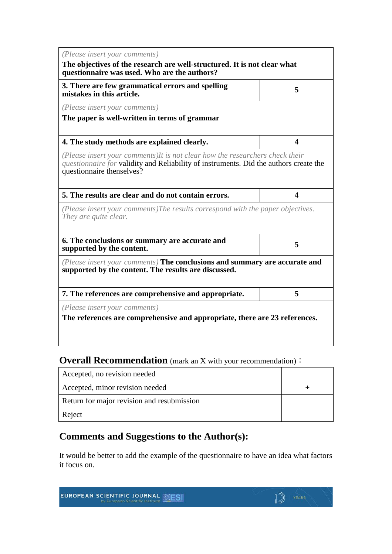| The objectives of the research are well-structured. It is not clear what<br>questionnaire was used. Who are the authors?<br>3. There are few grammatical errors and spelling<br>5<br>mistakes in this article.<br>(Please insert your comments)<br>The paper is well-written in terms of grammar<br>4. The study methods are explained clearly.<br>$\blacktriangleleft$<br>(Please insert your comments) It is not clear how the researchers check their<br><i>questionnaire for validity and Reliability of instruments. Did the authors create the</i><br>questionnaire thenselves?<br>5. The results are clear and do not contain errors.<br>$\overline{\mathbf{4}}$<br>(Please insert your comments) The results correspond with the paper objectives.<br>They are quite clear.<br>6. The conclusions or summary are accurate and<br>5<br>supported by the content.<br>(Please insert your comments) The conclusions and summary are accurate and | (Please insert your comments)                        |  |
|-------------------------------------------------------------------------------------------------------------------------------------------------------------------------------------------------------------------------------------------------------------------------------------------------------------------------------------------------------------------------------------------------------------------------------------------------------------------------------------------------------------------------------------------------------------------------------------------------------------------------------------------------------------------------------------------------------------------------------------------------------------------------------------------------------------------------------------------------------------------------------------------------------------------------------------------------------|------------------------------------------------------|--|
|                                                                                                                                                                                                                                                                                                                                                                                                                                                                                                                                                                                                                                                                                                                                                                                                                                                                                                                                                       |                                                      |  |
|                                                                                                                                                                                                                                                                                                                                                                                                                                                                                                                                                                                                                                                                                                                                                                                                                                                                                                                                                       |                                                      |  |
|                                                                                                                                                                                                                                                                                                                                                                                                                                                                                                                                                                                                                                                                                                                                                                                                                                                                                                                                                       |                                                      |  |
|                                                                                                                                                                                                                                                                                                                                                                                                                                                                                                                                                                                                                                                                                                                                                                                                                                                                                                                                                       |                                                      |  |
|                                                                                                                                                                                                                                                                                                                                                                                                                                                                                                                                                                                                                                                                                                                                                                                                                                                                                                                                                       |                                                      |  |
|                                                                                                                                                                                                                                                                                                                                                                                                                                                                                                                                                                                                                                                                                                                                                                                                                                                                                                                                                       |                                                      |  |
|                                                                                                                                                                                                                                                                                                                                                                                                                                                                                                                                                                                                                                                                                                                                                                                                                                                                                                                                                       |                                                      |  |
|                                                                                                                                                                                                                                                                                                                                                                                                                                                                                                                                                                                                                                                                                                                                                                                                                                                                                                                                                       |                                                      |  |
|                                                                                                                                                                                                                                                                                                                                                                                                                                                                                                                                                                                                                                                                                                                                                                                                                                                                                                                                                       |                                                      |  |
|                                                                                                                                                                                                                                                                                                                                                                                                                                                                                                                                                                                                                                                                                                                                                                                                                                                                                                                                                       | supported by the content. The results are discussed. |  |
| 5<br>7. The references are comprehensive and appropriate.                                                                                                                                                                                                                                                                                                                                                                                                                                                                                                                                                                                                                                                                                                                                                                                                                                                                                             |                                                      |  |
| (Please insert your comments)                                                                                                                                                                                                                                                                                                                                                                                                                                                                                                                                                                                                                                                                                                                                                                                                                                                                                                                         |                                                      |  |
| The references are comprehensive and appropriate, there are 23 references.                                                                                                                                                                                                                                                                                                                                                                                                                                                                                                                                                                                                                                                                                                                                                                                                                                                                            |                                                      |  |

### **Overall Recommendation** (mark an X with your recommendation):

| Accepted, no revision needed               |  |
|--------------------------------------------|--|
| Accepted, minor revision needed            |  |
| Return for major revision and resubmission |  |
| Reject                                     |  |

### **Comments and Suggestions to the Author(s):**

It would be better to add the example of the questionnaire to have an idea what factors it focus on.

 $\mathbb{D}$  YEARS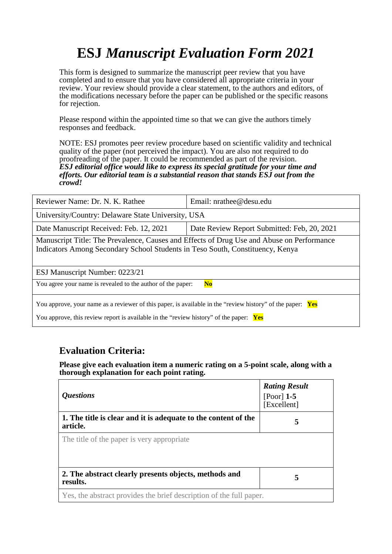# **ESJ** *Manuscript Evaluation Form 2021*

This form is designed to summarize the manuscript peer review that you have completed and to ensure that you have considered all appropriate criteria in your review. Your review should provide a clear statement, to the authors and editors, of the modifications necessary before the paper can be published or the specific reasons for rejection.

Please respond within the appointed time so that we can give the authors timely responses and feedback.

NOTE: ESJ promotes peer review procedure based on scientific validity and technical quality of the paper (not perceived the impact). You are also not required to do proofreading of the paper. It could be recommended as part of the revision. *ESJ editorial office would like to express its special gratitude for your time and efforts. Our editorial team is a substantial reason that stands ESJ out from the crowd!* 

| Reviewer Name: Dr. N. K. Rathee                                                                                                                                                                           | Email: $n$ rathee@desu.edu                  |  |
|-----------------------------------------------------------------------------------------------------------------------------------------------------------------------------------------------------------|---------------------------------------------|--|
| University/Country: Delaware State University, USA                                                                                                                                                        |                                             |  |
| Date Manuscript Received: Feb. 12, 2021                                                                                                                                                                   | Date Review Report Submitted: Feb, 20, 2021 |  |
| Manuscript Title: The Prevalence, Causes and Effects of Drug Use and Abuse on Performance<br>Indicators Among Secondary School Students in Teso South, Constituency, Kenya                                |                                             |  |
| ESJ Manuscript Number: 0223/21                                                                                                                                                                            |                                             |  |
| You agree your name is revealed to the author of the paper:<br>$\mathbf{No}$                                                                                                                              |                                             |  |
| You approve, your name as a reviewer of this paper, is available in the "review history" of the paper: Yes<br>You approve, this review report is available in the "review history" of the paper: $\gamma$ |                                             |  |

#### **Evaluation Criteria:**

**Please give each evaluation item a numeric rating on a 5-point scale, along with a thorough explanation for each point rating.**

| <b>Questions</b>                                                           | <b>Rating Result</b><br>$[Poor]$ 1-5<br>[Excellent] |
|----------------------------------------------------------------------------|-----------------------------------------------------|
| 1. The title is clear and it is adequate to the content of the<br>article. | 5                                                   |
| The title of the paper is very appropriate                                 |                                                     |
| 2. The abstract clearly presents objects, methods and<br>results.          | 5                                                   |
| Yes, the abstract provides the brief description of the full paper.        |                                                     |